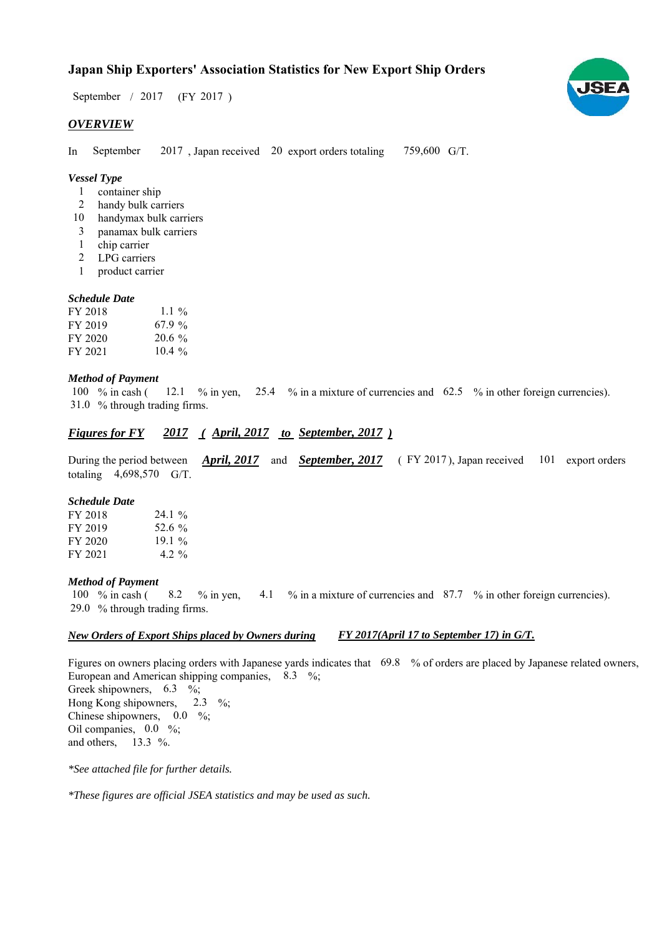### **Japan Ship Exporters' Association Statistics for New Export Ship Orders**

 $/ 2017$  (FY 2017) September / 2017

#### *OVERVIEW*

In September 2017, Japan received 20 export orders totaling 759,600 G/T. September

#### *Vessel Type*

- container ship 1
- handy bulk carriers 2
- handymax bulk carriers 10
- panamax bulk carriers 3
- chip carrier 1
- LPG carriers 2
- product carrier 1

#### *Schedule Date*

| FY 2018 | 1.1 %     |
|---------|-----------|
| FY 2019 | 67.9%     |
| FY 2020 | $20.6 \%$ |
| FY 2021 | $10.4\%$  |

#### *Method of Payment*

% in cash ( $\frac{12.1}{8}$  % in yen,  $\frac{25.4}{8}$  % in a mixture of currencies and 62.5 % in other foreign currencies). % through trading firms. 31.0 100  $%$  in cash ( 12.1 % in yen,

#### *Figures for FY* 2017 (*April, 2017 to September, 2017*)

During the period between *April, 2017* and *September, 2017* (FY 2017), Japan received 101 export orders totaling  $4,698,570$  G/T. *April, 2017 September, 2017*

#### *Schedule Date*

| FY 2018 | $24.1\%$ |
|---------|----------|
| FY 2019 | 52.6%    |
| FY 2020 | 19.1%    |
| FY 2021 | 4.2 %    |

#### *Method of Payment*

100 % in cash (8.2 % in yen, 4.1 % in a mixture of currencies and 87.7 % in other foreign currencies). % through trading firms. 29.0

#### *New Orders of Export Ships placed by Owners during FY 2017(April 17 to September 17) in G/T.*

Figures on owners placing orders with Japanese yards indicates that 69.8 % of orders are placed by Japanese related owners, European and American shipping companies,  $8.3\%$ ; Greek shipowners,  $6.3 \frac{\%}{\%}$ Hong Kong shipowners,  $2.3 \frac{\%}{\%}$ Chinese shipowners,  $0.0\%$ ; Oil companies,  $0.0\%$ ; and others,  $13.3\%$ .

*\*See attached file for further details.*

*\*These figures are official JSEA statistics and may be used as such.*

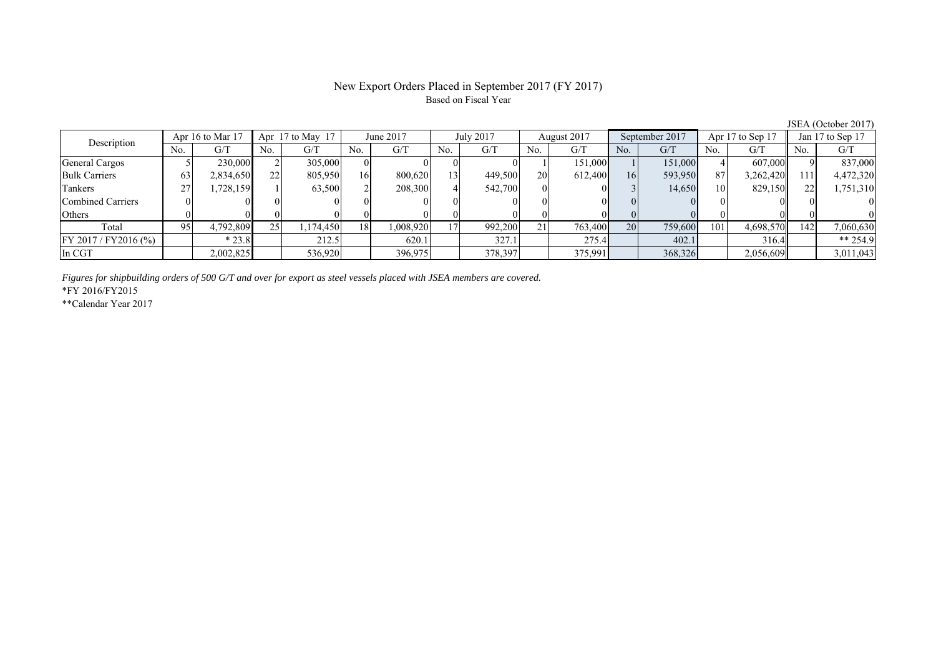# Based on Fiscal Year

No. G/T No. G/T No. G/T No. G/T No. G/T No. G/T No. G/T No. G/T General Cargos ( 5 230,000 2 305,000 0 0 0 0 0 1 151,000 1 151,000 4 607,000 9 837,000 Bulk Carriers 63 2,834,650 22 805,950 16 800,620 13 449,500 20 612,400 16 593,950 87 3,262,420 111 4,472,320 Tankers | 27 | 1,728,159 || 1 | 63,500 | 2 | 208,300 | 4 | 542,700 | 0 | 3 | 14,650 | 10 | 829,150 | 22 | 1,751,310 Combined Carriers 0 0 0 0 0 0 0 0 0 0 0 0 0 0 0 0 Others | 0 | 0 || 0 || 0 || 0 || 0 || 0 || 0 || 0 || 0 || 0 | Total 95 4,792,809 25 1,174,450 18 1,008,920 17 992,200 21 763,400 20 759,600 101 4,698,570 142 7,060,630 FY 2017/FY2016 (%)  $* 23.8$  212.5 620.1 327.1 275.4 402.1 316.4 \*\* 254.9 In CGT | | 2,002,825|| | 536,920| | 396,975| | 378,397| | 375,991| | 368,326| | 2,056,609| | 3,011,043 Apr 17 to May 17 June 2017 July 2017 Description Apr 16 to Mar 17 August 2017 September 2017 Apr 17 to Sep 17 Jan 17 to Sep 17

*Figures for shipbuilding orders of 500 G/T and over for export as steel vessels placed with JSEA members are covered.*

\*FY 2016/FY2015

\*\*Calendar Year 2017

JSEA (October 2017)

## New Export Orders Placed in September 2017 (FY 2017)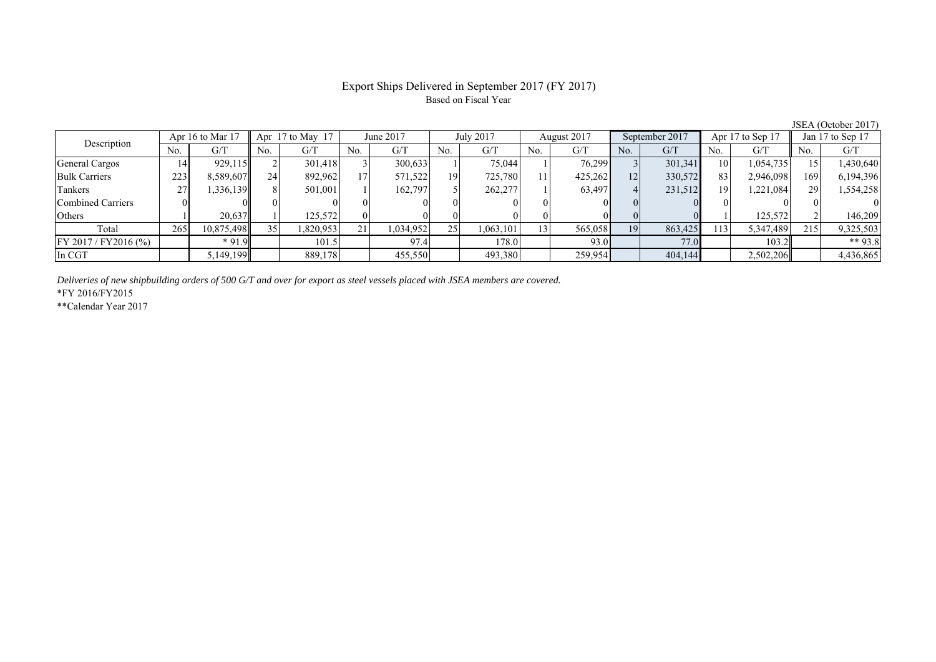#### Export Ships Delivered in September 2017 (FY 2017) Based on Fiscal Year

| Description             |     | Apr 16 to Mar 17 | Apr 17 to May 17 |          |     | June 2017 |                 | July 2017 |                | August 2017 |     | September 2017 |     | Apr 17 to Sep 17 |     | Jan 17 to Sep 17 |  |
|-------------------------|-----|------------------|------------------|----------|-----|-----------|-----------------|-----------|----------------|-------------|-----|----------------|-----|------------------|-----|------------------|--|
|                         | No. | G/T              | No.              | G/T      | No. | G/T       | No.             | G/T       | N <sub>0</sub> | G/T         | No. | G/T            | No. | G/T              | No. | G/T              |  |
| General Cargos          | 14. | 929,115          |                  | 301,418  |     | 300,633   |                 | 75.044    |                | 76,299      |     | 301,341        | 10  | 1,054,735        |     | 1,430,640        |  |
| <b>Bulk Carriers</b>    | 223 | 8,589,607        | 24               | 892,962  |     | 571,522   | 19              | 725,780   |                | 425,262     | 12  | 330,572        | 83  | 2,946,098        | 169 | 6,194,396        |  |
| Tankers                 |     | 1,336,139        |                  | 501,001  |     | 162.797   |                 | 262,277   |                | 63,497      |     | 231,512        | 19  | .221,084         | 29  | 1,554,258        |  |
| Combined Carriers       |     |                  |                  |          |     |           |                 |           |                |             |     |                |     |                  |     |                  |  |
| Others                  |     | 20,637           |                  | 125,572  |     |           |                 |           |                |             |     |                |     | 125,572          |     | 146,209          |  |
| Total                   | 265 | 10,875,498       |                  | .820,953 | 21  | 1,034,952 | 25 <sub>1</sub> | ,063,101  | 131            | 565,058     | 19  | 863,425        | 13  | 5,347,489        | 215 | 9,325,503        |  |
| $FY 2017 / FY 2016$ (%) |     | $*91.9$          |                  | 101.5    |     | 97.4      |                 | 178.0     |                | 93.0        |     | 77.0           |     | 103.2            |     | ** 93.8          |  |
| In CGT                  |     | 5,149,199        |                  | 889,178  |     | 455,550   |                 | 493,380   |                | 259,954     |     | 404,144        |     | 2,502,206        |     | 4,436,865        |  |

*Deliveries of new shipbuilding orders of 500 G/T and over for export as steel vessels placed with JSEA members are covered.*

\*FY 2016/FY2015

\*\*Calendar Year 2017

JSEA (October 2017)